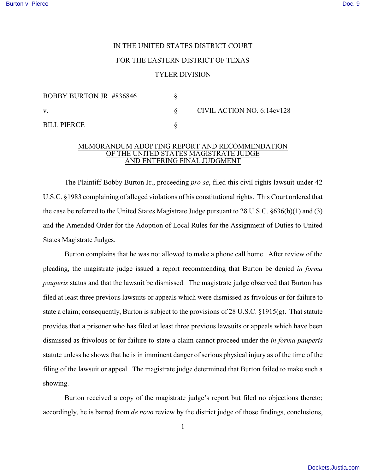## IN THE UNITED STATES DISTRICT COURT

## FOR THE EASTERN DISTRICT OF TEXAS

## TYLER DIVISION

| <b>BOBBY BURTON JR. #836846</b> |  |
|---------------------------------|--|
| V.                              |  |
| BILL PIERCE                     |  |

§ CIVIL ACTION NO. 6:14cv128

## MEMORANDUM ADOPTING REPORT AND RECOMMENDATION OF THE UNITED STATES MAGISTRATE JUDGE AND ENTERING FINAL JUDGMENT

The Plaintiff Bobby Burton Jr., proceeding *pro se*, filed this civil rights lawsuit under 42 U.S.C. §1983 complaining of alleged violations of his constitutional rights. This Court ordered that the case be referred to the United States Magistrate Judge pursuant to 28 U.S.C. §636(b)(1) and (3) and the Amended Order for the Adoption of Local Rules for the Assignment of Duties to United States Magistrate Judges.

Burton complains that he was not allowed to make a phone call home. After review of the pleading, the magistrate judge issued a report recommending that Burton be denied *in forma pauperis* status and that the lawsuit be dismissed. The magistrate judge observed that Burton has filed at least three previous lawsuits or appeals which were dismissed as frivolous or for failure to state a claim; consequently, Burton is subject to the provisions of 28 U.S.C. §1915(g). That statute provides that a prisoner who has filed at least three previous lawsuits or appeals which have been dismissed as frivolous or for failure to state a claim cannot proceed under the *in forma pauperis* statute unless he shows that he is in imminent danger of serious physical injury as of the time of the filing of the lawsuit or appeal. The magistrate judge determined that Burton failed to make such a showing.

Burton received a copy of the magistrate judge's report but filed no objections thereto; accordingly, he is barred from *de novo* review by the district judge of those findings, conclusions,